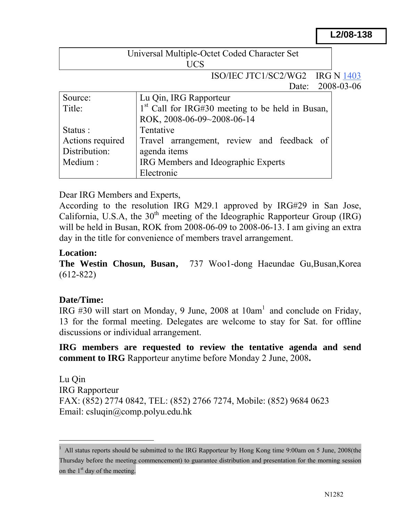#### **L2/08-138**

| Universal Multiple-Octet Coded Character Set |  |
|----------------------------------------------|--|
| UCS                                          |  |

# ISO/IEC JTC1/SC2/WG2 IRG N 1403

Date: 2008-03-06

| Source:          | Lu Qin, IRG Rapporteur                                       |  |
|------------------|--------------------------------------------------------------|--|
| Title:           | 1 <sup>st</sup> Call for IRG#30 meeting to be held in Busan, |  |
|                  | ROK, 2008-06-09~2008-06-14                                   |  |
| Status :         | Tentative                                                    |  |
| Actions required | Travel arrangement, review and feedback of                   |  |
| Distribution:    | agenda items                                                 |  |
| Medium:          | IRG Members and Ideographic Experts                          |  |
|                  | Electronic                                                   |  |

Dear IRG Members and Experts,

According to the resolution IRG M29.1 approved by IRG#29 in San Jose, California, U.S.A, the  $30<sup>th</sup>$  meeting of the Ideographic Rapporteur Group (IRG) will be held in Busan, ROK from 2008-06-09 to 2008-06-13. I am giving an extra day in the title for convenience of members travel arrangement.

#### **Location:**

**The Westin Chosun, Busan,** 737 Woo1-dong Haeundae Gu,Busan,Korea (612-822)

## **Date/Time:**

 $\overline{a}$ 

IRG  $#30$  will start on Monday, 9 June, 2008 at  $10am<sup>1</sup>$  and conclude on Friday, 13 for the formal meeting. Delegates are welcome to stay for Sat. for offline discussions or individual arrangement.

**IRG members are requested to review the tentative agenda and send comment to IRG** Rapporteur anytime before Monday 2 June, 2008**.** 

Lu Qin IRG Rapporteur FAX: (852) 2774 0842, TEL: (852) 2766 7274, Mobile: (852) 9684 0623 Email: csluqin@comp.polyu.edu.hk

<sup>1</sup> All status reports should be submitted to the IRG Rapporteur by Hong Kong time 9:00am on 5 June, 2008(the Thursday before the meeting commencement) to guarantee distribution and presentation for the morning session on the  $1<sup>st</sup>$  day of the meeting.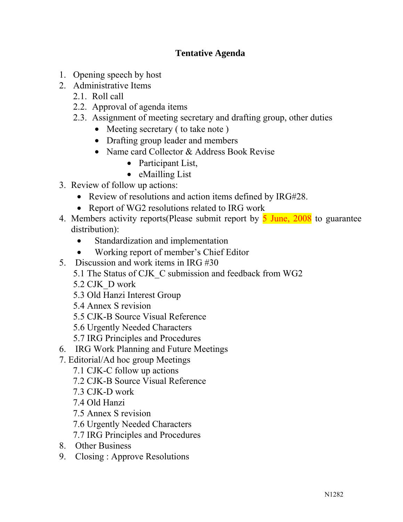# **Tentative Agenda**

- 1. Opening speech by host
- 2. Administrative Items
	- 2.1. Roll call
	- 2.2. Approval of agenda items
	- 2.3. Assignment of meeting secretary and drafting group, other duties
		- Meeting secretary (to take note)
		- Drafting group leader and members
		- Name card Collector & Address Book Revise
			- Participant List,
			- eMailling List
- 3. Review of follow up actions:
	- Review of resolutions and action items defined by IRG#28.
	- Report of WG2 resolutions related to IRG work
- 4. Members activity reports(Please submit report by  $\overline{5}$  June, 2008 to guarantee distribution):
	- Standardization and implementation
	- Working report of member's Chief Editor
- 5. Discussion and work items in IRG #30
	- 5.1 The Status of CJK\_C submission and feedback from WG2
	- 5.2 CJK\_D work
	- 5.3 Old Hanzi Interest Group
	- 5.4 Annex S revision
	- 5.5 CJK-B Source Visual Reference
	- 5.6 Urgently Needed Characters
	- 5.7 IRG Principles and Procedures
- 6. IRG Work Planning and Future Meetings
- 7. Editorial/Ad hoc group Meetings
	- 7.1 CJK-C follow up actions
	- 7.2 CJK-B Source Visual Reference
	- 7.3 CJK-D work
	- 7.4 Old Hanzi
	- 7.5 Annex S revision
	- 7.6 Urgently Needed Characters
	- 7.7 IRG Principles and Procedures
- 8. Other Business
- 9. Closing : Approve Resolutions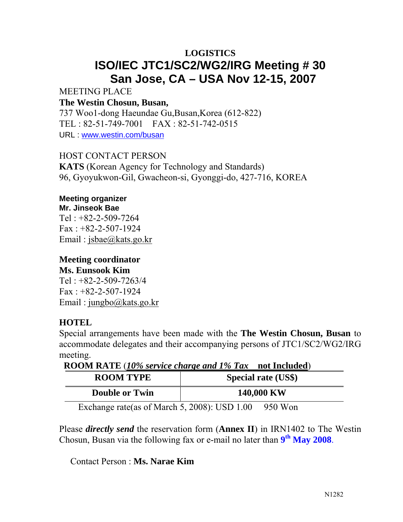# **LOGISTICS ISO/IEC JTC1/SC2/WG2/IRG Meeting # 30 San Jose, CA – USA Nov 12-15, 2007**

MEETING PLACE

#### **The Westin Chosun, Busan,**

737 Woo1-dong Haeundae Gu,Busan,Korea (612-822) TEL : 82-51-749-7001 FAX : 82-51-742-0515 URL : www.westin.com/busan

HOST CONTACT PERSON

**KATS** (Korean Agency for Technology and Standards) 96, Gyoyukwon-Gil, Gwacheon-si, Gyonggi-do, 427-716, KOREA

#### **Meeting organizer Mr. Jinseok Bae**

Tel : +82-2-509-7264  $Fax : +82-2-507-1924$ Email : jsbae@kats.go.kr

# **Meeting coordinator**

#### **Ms. Eunsook Kim**

Tel  $\cdot$  +82-2-509-7263/4  $Fax : +82-2-507-1924$ Email : jungbo@kats.go.kr

# **HOTEL**

Special arrangements have been made with the **The Westin Chosun, Busan** to accommodate delegates and their accompanying persons of JTC1/SC2/WG2/IRG meeting.

**ROOM RATE** (*10% service charge and 1% Tax* **not Included**)

| <b>ROOM TYPE</b>      | <b>Special rate (US\$)</b>                                                                 |
|-----------------------|--------------------------------------------------------------------------------------------|
| <b>Double or Twin</b> | 140,000 KW                                                                                 |
|                       | $0.1$ $\pm$ 0.000 $\pm$ 1.000 $\pm$ 0.000 $\pm$<br>$\bigcap$ $\bigcap$ $\bigcap$ $\bigcap$ |

Exchange rate (as of March 5, 2008): USD  $1.00$  950 Won

Please *directly send* the reservation form (**Annex II**) in IRN1402 to The Westin Chosun, Busan via the following fax or e-mail no later than **9th May 2008**.

Contact Person : **Ms. Narae Kim**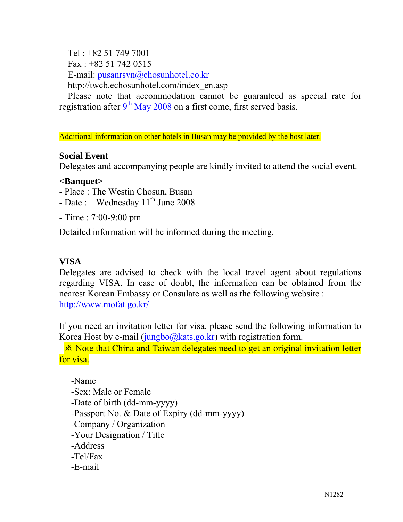Tel : +82 51 749 7001

Fax:  $+82$  51 742 0515

E-mail: pusanrsvn@chosunhotel.co.kr

http://twcb.echosunhotel.com/index\_en.asp

Please note that accommodation cannot be guaranteed as special rate for registration after  $9<sup>th</sup>$  May 2008 on a first come, first served basis.

Additional information on other hotels in Busan may be provided by the host later.

#### **Social Event**

Delegates and accompanying people are kindly invited to attend the social event.

#### **<Banquet>**

- Place : The Westin Chosun, Busan
- Date : Wednesday  $11<sup>th</sup>$  June 2008
- Time : 7:00-9:00 pm

Detailed information will be informed during the meeting.

## **VISA**

Delegates are advised to check with the local travel agent about regulations regarding VISA. In case of doubt, the information can be obtained from the nearest Korean Embassy or Consulate as well as the following website : http://www.mofat.go.kr/

If you need an invitation letter for visa, please send the following information to Korea Host by e-mail  $(iungbo@kats.govk$  with registration form.

※ Note that China and Taiwan delegates need to get an original invitation letter for visa.

-Name

- -Sex: Male or Female
- -Date of birth (dd-mm-yyyy)
- -Passport No. & Date of Expiry (dd-mm-yyyy)
- -Company / Organization
- -Your Designation / Title
- -Address
- -Tel/Fax
- -E-mail